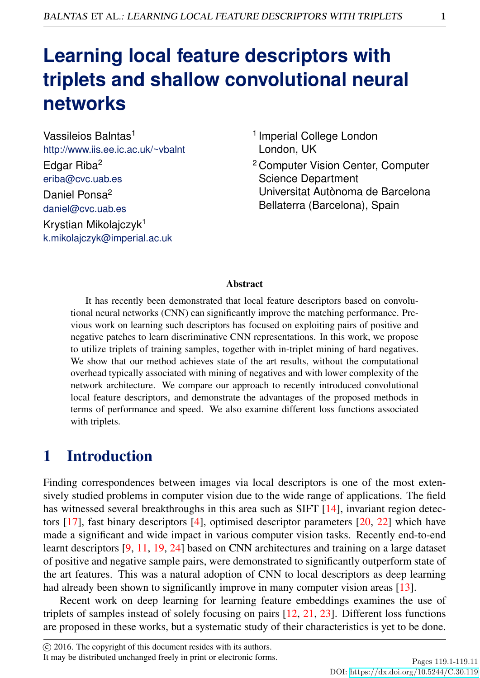# **Learning local feature descriptors with triplets and shallow convolutional neural networks**

Vassileios Balntas<sup>1</sup> http://www.iis.ee.ic.ac.uk/~vbalnt Edgar Riba<sup>2</sup> eriba@cvc.uab.es Daniel Ponsa<sup>2</sup> daniel@cvc.uab.es Krystian Mikolajczyk<sup>1</sup> k.mikolajczyk@imperial.ac.uk

- <sup>1</sup> Imperial College London London, UK
- <sup>2</sup> Computer Vision Center, Computer Science Department Universitat Autònoma de Barcelona Bellaterra (Barcelona), Spain

#### Abstract

It has recently been demonstrated that local feature descriptors based on convolutional neural networks (CNN) can significantly improve the matching performance. Previous work on learning such descriptors has focused on exploiting pairs of positive and negative patches to learn discriminative CNN representations. In this work, we propose to utilize triplets of training samples, together with in-triplet mining of hard negatives. We show that our method achieves state of the art results, without the computational overhead typically associated with mining of negatives and with lower complexity of the network architecture. We compare our approach to recently introduced convolutional local feature descriptors, and demonstrate the advantages of the proposed methods in terms of performance and speed. We also examine different loss functions associated with triplets.

# 1 Introduction

Finding correspondences between images via local descriptors is one of the most extensively studied problems in computer vision due to the wide range of applications. The field has witnessed several breakthroughs in this area such as SIFT [14], invariant region detectors [17], fast binary descriptors [4], optimised descriptor parameters [20, 22] which have made a significant and wide impact in various computer vision tasks. Recently end-to-end learnt descriptors [9, 11, 19, 24] based on CNN architectures and training on a large dataset of positive and negative sample pairs, were demonstrated to significantly outperform state of the art features. This was a natural adoption of CNN to local descriptors as deep learning had already been shown to significantly improve in many computer vision areas [13].

Recent work on deep learning for learning feature embeddings examines the use of triplets of samples instead of solely focusing on pairs [12, 21, 23]. Different loss functions are proposed in these works, but a systematic study of their characteristics is yet to be done.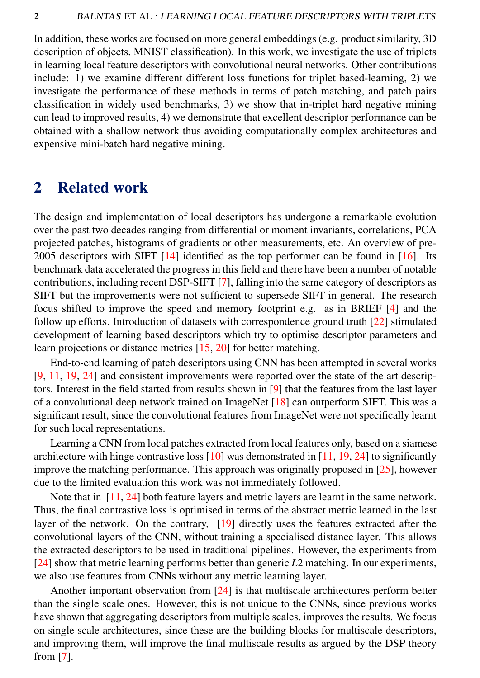In addition, these works are focused on more general embeddings (e.g. product similarity, 3D description of objects, MNIST classification). In this work, we investigate the use of triplets in learning local feature descriptors with convolutional neural networks. Other contributions include: 1) we examine different different loss functions for triplet based-learning, 2) we investigate the performance of these methods in terms of patch matching, and patch pairs classification in widely used benchmarks, 3) we show that in-triplet hard negative mining can lead to improved results, 4) we demonstrate that excellent descriptor performance can be obtained with a shallow network thus avoiding computationally complex architectures and expensive mini-batch hard negative mining.

### 2 Related work

The design and implementation of local descriptors has undergone a remarkable evolution over the past two decades ranging from differential or moment invariants, correlations, PCA projected patches, histograms of gradients or other measurements, etc. An overview of pre-2005 descriptors with SIFT  $[14]$  identified as the top performer can be found in  $[16]$ . Its benchmark data accelerated the progress in this field and there have been a number of notable contributions, including recent DSP-SIFT [7], falling into the same category of descriptors as SIFT but the improvements were not sufficient to supersede SIFT in general. The research focus shifted to improve the speed and memory footprint e.g. as in BRIEF [4] and the follow up efforts. Introduction of datasets with correspondence ground truth [22] stimulated development of learning based descriptors which try to optimise descriptor parameters and learn projections or distance metrics [15, 20] for better matching.

End-to-end learning of patch descriptors using CNN has been attempted in several works [9, 11, 19, 24] and consistent improvements were reported over the state of the art descriptors. Interest in the field started from results shown in [9] that the features from the last layer of a convolutional deep network trained on ImageNet [18] can outperform SIFT. This was a significant result, since the convolutional features from ImageNet were not specifically learnt for such local representations.

Learning a CNN from local patches extracted from local features only, based on a siamese architecture with hinge contrastive loss  $[10]$  was demonstrated in  $[11, 19, 24]$  to significantly improve the matching performance. This approach was originally proposed in [25], however due to the limited evaluation this work was not immediately followed.

Note that in [11, 24] both feature layers and metric layers are learnt in the same network. Thus, the final contrastive loss is optimised in terms of the abstract metric learned in the last layer of the network. On the contrary, [19] directly uses the features extracted after the convolutional layers of the CNN, without training a specialised distance layer. This allows the extracted descriptors to be used in traditional pipelines. However, the experiments from [24] show that metric learning performs better than generic *L*2 matching. In our experiments, we also use features from CNNs without any metric learning layer.

Another important observation from [24] is that multiscale architectures perform better than the single scale ones. However, this is not unique to the CNNs, since previous works have shown that aggregating descriptors from multiple scales, improves the results. We focus on single scale architectures, since these are the building blocks for multiscale descriptors, and improving them, will improve the final multiscale results as argued by the DSP theory from [7].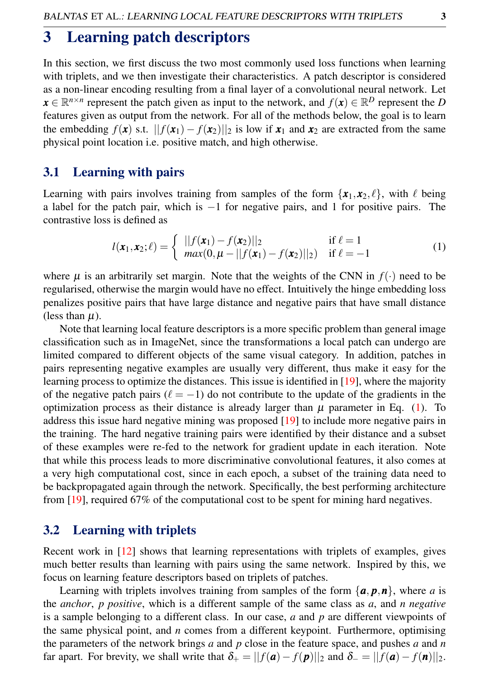### 3 Learning patch descriptors

In this section, we first discuss the two most commonly used loss functions when learning with triplets, and we then investigate their characteristics. A patch descriptor is considered as a non-linear encoding resulting from a final layer of a convolutional neural network. Let  $\mathbf{x} \in \mathbb{R}^{n \times n}$  represent the patch given as input to the network, and  $f(\mathbf{x}) \in \mathbb{R}^D$  represent the *D* features given as output from the network. For all of the methods below, the goal is to learn the embedding  $f(\mathbf{x})$  s.t.  $||f(\mathbf{x}_1) - f(\mathbf{x}_2)||_2$  is low if  $\mathbf{x}_1$  and  $\mathbf{x}_2$  are extracted from the same physical point location i.e. positive match, and high otherwise.

### 3.1 Learning with pairs

Learning with pairs involves training from samples of the form  $\{x_1, x_2, \ell\}$ , with  $\ell$  being a label for the patch pair, which is −1 for negative pairs, and 1 for positive pairs. The contrastive loss is defined as

$$
l(\mathbf{x}_1, \mathbf{x}_2; \ell) = \begin{cases} ||f(\mathbf{x}_1) - f(\mathbf{x}_2)||_2 & \text{if } \ell = 1 \\ max(0, \mu - ||f(\mathbf{x}_1) - f(\mathbf{x}_2)||_2) & \text{if } \ell = -1 \end{cases}
$$
 (1)

where  $\mu$  is an arbitrarily set margin. Note that the weights of the CNN in  $f(\cdot)$  need to be regularised, otherwise the margin would have no effect. Intuitively the hinge embedding loss penalizes positive pairs that have large distance and negative pairs that have small distance (less than  $\mu$ ).

Note that learning local feature descriptors is a more specific problem than general image classification such as in ImageNet, since the transformations a local patch can undergo are limited compared to different objects of the same visual category. In addition, patches in pairs representing negative examples are usually very different, thus make it easy for the learning process to optimize the distances. This issue is identified in [19], where the majority of the negative patch pairs ( $\ell = -1$ ) do not contribute to the update of the gradients in the optimization process as their distance is already larger than  $\mu$  parameter in Eq. (1). To address this issue hard negative mining was proposed [19] to include more negative pairs in the training. The hard negative training pairs were identified by their distance and a subset of these examples were re-fed to the network for gradient update in each iteration. Note that while this process leads to more discriminative convolutional features, it also comes at a very high computational cost, since in each epoch, a subset of the training data need to be backpropagated again through the network. Specifically, the best performing architecture from [19], required 67% of the computational cost to be spent for mining hard negatives.

### 3.2 Learning with triplets

Recent work in [12] shows that learning representations with triplets of examples, gives much better results than learning with pairs using the same network. Inspired by this, we focus on learning feature descriptors based on triplets of patches.

Learning with triplets involves training from samples of the form  $\{a, p, n\}$ , where *a* is the *anchor*, *p positive*, which is a different sample of the same class as *a*, and *n negative* is a sample belonging to a different class. In our case, *a* and *p* are different viewpoints of the same physical point, and *n* comes from a different keypoint. Furthermore, optimising the parameters of the network brings *a* and *p* close in the feature space, and pushes *a* and *n* far apart. For brevity, we shall write that  $\delta_+ = ||f(\mathbf{a}) - f(\mathbf{p})||_2$  and  $\delta_- = ||f(\mathbf{a}) - f(\mathbf{n})||_2$ .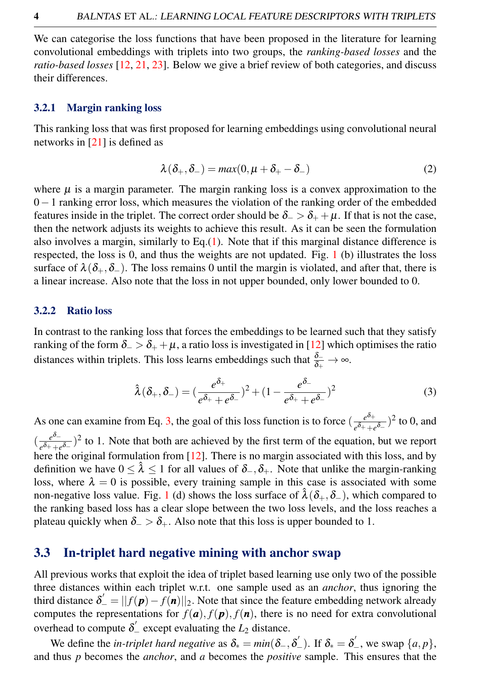We can categorise the loss functions that have been proposed in the literature for learning convolutional embeddings with triplets into two groups, the *ranking-based losses* and the *ratio-based losses* [12, 21, 23]. Below we give a brief review of both categories, and discuss their differences.

#### 3.2.1 Margin ranking loss

This ranking loss that was first proposed for learning embeddings using convolutional neural networks in [21] is defined as

$$
\lambda(\delta_+,\delta_-) = \max(0,\mu+\delta_+-\delta_-) \tag{2}
$$

where  $\mu$  is a margin parameter. The margin ranking loss is a convex approximation to the 0−1 ranking error loss, which measures the violation of the ranking order of the embedded features inside in the triplet. The correct order should be  $\delta_-\geq \delta_+ + \mu$ . If that is not the case, then the network adjusts its weights to achieve this result. As it can be seen the formulation also involves a margin, similarly to  $Eq.(1)$ . Note that if this marginal distance difference is respected, the loss is 0, and thus the weights are not updated. Fig. 1 (b) illustrates the loss surface of  $\lambda(\delta_+,\delta_-)$ . The loss remains 0 until the margin is violated, and after that, there is a linear increase. Also note that the loss in not upper bounded, only lower bounded to 0.

#### 3.2.2 Ratio loss

In contrast to the ranking loss that forces the embeddings to be learned such that they satisfy ranking of the form  $\delta_$  >  $\delta_+$  +  $\mu$ , a ratio loss is investigated in [12] which optimises the ratio distances within triplets. This loss learns embeddings such that  $\frac{\delta_-}{\delta_+} \to \infty$ .

$$
\hat{\lambda}(\delta_+,\delta_-) = \left(\frac{e^{\delta_+}}{e^{\delta_+} + e^{\delta_-}}\right)^2 + \left(1 - \frac{e^{\delta_-}}{e^{\delta_+} + e^{\delta_-}}\right)^2\tag{3}
$$

As one can examine from Eq. 3, the goal of this loss function is to force  $\left(\frac{e^{\delta_+}}{d_+}\right)$  $\frac{e^{\mathfrak{O}_+}}{e^{\delta_+}+e^{\delta_-}}$ <sup>2</sup> to 0, and  $\left(\frac{e^{\delta-1}}{e^{\delta+1}}\right)$  $\frac{e^{\theta} - e^{-\theta}}{e^{\theta} + e^{-\theta}}$ <sup>2</sup> to 1. Note that both are achieved by the first term of the equation, but we report here the original formulation from [12]. There is no margin associated with this loss, and by definition we have  $0 \leq \hat{\lambda} \leq 1$  for all values of  $\delta_-, \delta_+$ . Note that unlike the margin-ranking loss, where  $\lambda = 0$  is possible, every training sample in this case is associated with some non-negative loss value. Fig. 1 (d) shows the loss surface of  $\hat{\lambda}(\delta_+,\delta_-)$ , which compared to the ranking based loss has a clear slope between the two loss levels, and the loss reaches a plateau quickly when  $\delta_$  >  $\delta_+$ . Also note that this loss is upper bounded to 1.

### 3.3 In-triplet hard negative mining with anchor swap

All previous works that exploit the idea of triplet based learning use only two of the possible three distances within each triplet w.r.t. one sample used as an *anchor*, thus ignoring the third distance  $\delta' = ||f(\mathbf{p}) - f(\mathbf{n})||_2$ . Note that since the feature embedding network already computes the representations for  $f(\mathbf{a})$ ,  $f(\mathbf{p})$ ,  $f(\mathbf{n})$ , there is no need for extra convolutional overhead to compute  $\delta'$  except evaluating the  $L_2$  distance.

We define the *in-triplet hard negative* as  $\delta_* = min(\delta_-, \delta'_-)$ . If  $\delta_* = \delta'_-,$  we swap  $\{a, p\}$ , and thus *p* becomes the *anchor*, and *a* becomes the *positive* sample. This ensures that the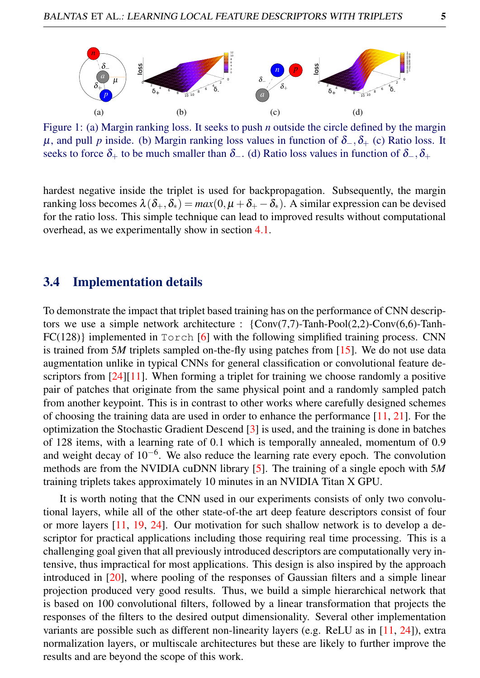

Figure 1: (a) Margin ranking loss. It seeks to push *n* outside the circle defined by the margin  $\mu$ , and pull *p* inside. (b) Margin ranking loss values in function of  $\delta_-, \delta_+$  (c) Ratio loss. It seeks to force  $\delta_+$  to be much smaller than  $\delta_-$ . (d) Ratio loss values in function of  $\delta_-$ ,  $\delta_+$ 

hardest negative inside the triplet is used for backpropagation. Subsequently, the margin ranking loss becomes  $\lambda(\delta_+, \delta_*) = max(0, \mu + \delta_+ - \delta_*)$ . A similar expression can be devised for the ratio loss. This simple technique can lead to improved results without computational overhead, as we experimentally show in section 4.1.

### 3.4 Implementation details

To demonstrate the impact that triplet based training has on the performance of CNN descriptors we use a simple network architecture : {Conv(7,7)-Tanh-Pool(2,2)-Conv(6,6)-Tanh- $FC(128)$  implemented in  $T$ orch [6] with the following simplified training process. CNN is trained from 5*M* triplets sampled on-the-fly using patches from [15]. We do not use data augmentation unlike in typical CNNs for general classification or convolutional feature descriptors from [24][11]. When forming a triplet for training we choose randomly a positive pair of patches that originate from the same physical point and a randomly sampled patch from another keypoint. This is in contrast to other works where carefully designed schemes of choosing the training data are used in order to enhance the performance [11, 21]. For the optimization the Stochastic Gradient Descend [3] is used, and the training is done in batches of 128 items, with a learning rate of 0.1 which is temporally annealed, momentum of 0.9 and weight decay of  $10^{-6}$ . We also reduce the learning rate every epoch. The convolution methods are from the NVIDIA cuDNN library [5]. The training of a single epoch with 5*M* training triplets takes approximately 10 minutes in an NVIDIA Titan X GPU.

It is worth noting that the CNN used in our experiments consists of only two convolutional layers, while all of the other state-of-the art deep feature descriptors consist of four or more layers [11, 19, 24]. Our motivation for such shallow network is to develop a descriptor for practical applications including those requiring real time processing. This is a challenging goal given that all previously introduced descriptors are computationally very intensive, thus impractical for most applications. This design is also inspired by the approach introduced in [20], where pooling of the responses of Gaussian filters and a simple linear projection produced very good results. Thus, we build a simple hierarchical network that is based on 100 convolutional filters, followed by a linear transformation that projects the responses of the filters to the desired output dimensionality. Several other implementation variants are possible such as different non-linearity layers (e.g. ReLU as in [11, 24]), extra normalization layers, or multiscale architectures but these are likely to further improve the results and are beyond the scope of this work.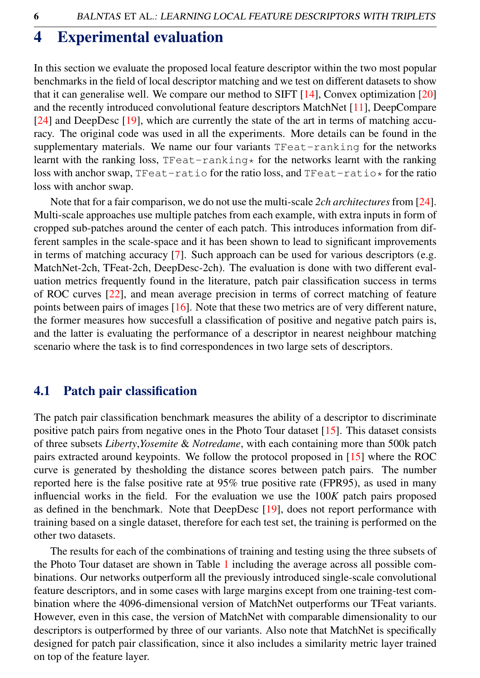## 4 Experimental evaluation

In this section we evaluate the proposed local feature descriptor within the two most popular benchmarks in the field of local descriptor matching and we test on different datasets to show that it can generalise well. We compare our method to SIFT  $[14]$ , Convex optimization  $[20]$ and the recently introduced convolutional feature descriptors MatchNet [11], DeepCompare [24] and DeepDesc [19], which are currently the state of the art in terms of matching accuracy. The original code was used in all the experiments. More details can be found in the supplementary materials. We name our four variants TFeat-ranking for the networks learnt with the ranking loss,  $TFeat-ranking*$  for the networks learnt with the ranking loss with anchor swap, TFeat-ratio for the ratio loss, and TFeat-ratio\* for the ratio loss with anchor swap.

Note that for a fair comparison, we do not use the multi-scale *2ch architectures* from [24]. Multi-scale approaches use multiple patches from each example, with extra inputs in form of cropped sub-patches around the center of each patch. This introduces information from different samples in the scale-space and it has been shown to lead to significant improvements in terms of matching accuracy [7]. Such approach can be used for various descriptors (e.g. MatchNet-2ch, TFeat-2ch, DeepDesc-2ch). The evaluation is done with two different evaluation metrics frequently found in the literature, patch pair classification success in terms of ROC curves [22], and mean average precision in terms of correct matching of feature points between pairs of images [16]. Note that these two metrics are of very different nature, the former measures how succesfull a classification of positive and negative patch pairs is, and the latter is evaluating the performance of a descriptor in nearest neighbour matching scenario where the task is to find correspondences in two large sets of descriptors.

### 4.1 Patch pair classification

The patch pair classification benchmark measures the ability of a descriptor to discriminate positive patch pairs from negative ones in the Photo Tour dataset  $[15]$ . This dataset consists of three subsets *Liberty*,*Yosemite* & *Notredame*, with each containing more than 500k patch pairs extracted around keypoints. We follow the protocol proposed in [15] where the ROC curve is generated by thesholding the distance scores between patch pairs. The number reported here is the false positive rate at 95% true positive rate (FPR95), as used in many influencial works in the field. For the evaluation we use the 100*K* patch pairs proposed as defined in the benchmark. Note that DeepDesc [19], does not report performance with training based on a single dataset, therefore for each test set, the training is performed on the other two datasets.

The results for each of the combinations of training and testing using the three subsets of the Photo Tour dataset are shown in Table 1 including the average across all possible combinations. Our networks outperform all the previously introduced single-scale convolutional feature descriptors, and in some cases with large margins except from one training-test combination where the 4096-dimensional version of MatchNet outperforms our TFeat variants. However, even in this case, the version of MatchNet with comparable dimensionality to our descriptors is outperformed by three of our variants. Also note that MatchNet is specifically designed for patch pair classification, since it also includes a similarity metric layer trained on top of the feature layer.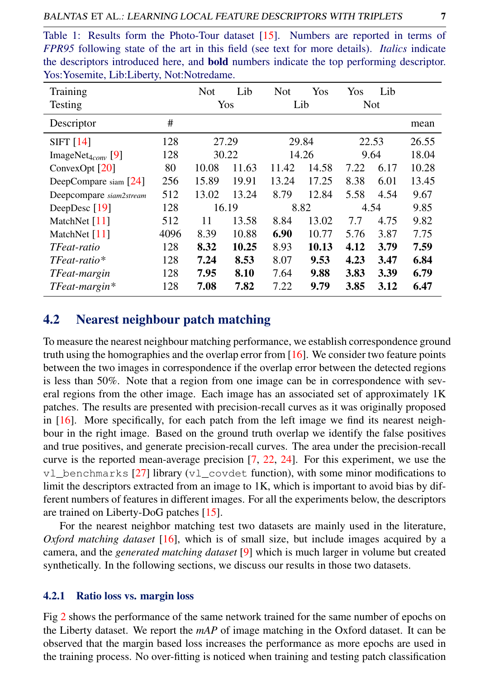| Table 1: Results form the Photo-Tour dataset [15]. Numbers are reported in terms of              |
|--------------------------------------------------------------------------------------------------|
| FPR95 following state of the art in this field (see text for more details). Italics indicate     |
| the descriptors introduced here, and <b>bold</b> numbers indicate the top performing descriptor. |
| Yos: Yosemite, Lib: Liberty, Not: Notredame.                                                     |

| Training                      |      | <b>Not</b> | Lib   | <b>Not</b> | Yos   | Yos        | Lib  |       |
|-------------------------------|------|------------|-------|------------|-------|------------|------|-------|
| <b>Testing</b>                |      | Yos        |       | Lib        |       | <b>Not</b> |      |       |
| Descriptor                    | #    |            |       |            |       |            |      | mean  |
| SIFT $[14]$                   | 128  | 27.29      |       | 29.84      |       | 22.53      |      | 26.55 |
| ImageNet <sub>4conv</sub> [9] | 128  | 30.22      |       | 14.26      |       | 9.64       |      | 18.04 |
| ConvexOpt $[20]$              | 80   | 10.08      | 11.63 | 11.42      | 14.58 | 7.22       | 6.17 | 10.28 |
| DeepCompare siam [24]         | 256  | 15.89      | 19.91 | 13.24      | 17.25 | 8.38       | 6.01 | 13.45 |
| Deepcompare siam2stream       | 512  | 13.02      | 13.24 | 8.79       | 12.84 | 5.58       | 4.54 | 9.67  |
| DeepDesc [19]                 | 128  | 16.19      |       | 8.82       |       | 4.54       |      | 9.85  |
| MatchNet [11]                 | 512  | 11         | 13.58 | 8.84       | 13.02 | 7.7        | 4.75 | 9.82  |
| MatchNet $[11]$               | 4096 | 8.39       | 10.88 | 6.90       | 10.77 | 5.76       | 3.87 | 7.75  |
| TFeat-ratio                   | 128  | 8.32       | 10.25 | 8.93       | 10.13 | 4.12       | 3.79 | 7.59  |
| $TFeat-ratio*$                | 128  | 7.24       | 8.53  | 8.07       | 9.53  | 4.23       | 3.47 | 6.84  |
| TFeat-margin                  | 128  | 7.95       | 8.10  | 7.64       | 9.88  | 3.83       | 3.39 | 6.79  |
| $TFeat-margin*$               | 128  | 7.08       | 7.82  | 7.22       | 9.79  | 3.85       | 3.12 | 6.47  |

### 4.2 Nearest neighbour patch matching

To measure the nearest neighbour matching performance, we establish correspondence ground truth using the homographies and the overlap error from [16]. We consider two feature points between the two images in correspondence if the overlap error between the detected regions is less than 50%. Note that a region from one image can be in correspondence with several regions from the other image. Each image has an associated set of approximately 1K patches. The results are presented with precision-recall curves as it was originally proposed in [16]. More specifically, for each patch from the left image we find its nearest neighbour in the right image. Based on the ground truth overlap we identify the false positives and true positives, and generate precision-recall curves. The area under the precision-recall curve is the reported mean-average precision [7, 22, 24]. For this experiment, we use the  $v1$  benchmarks [27] library (v1 covdet function), with some minor modifications to limit the descriptors extracted from an image to 1K, which is important to avoid bias by different numbers of features in different images. For all the experiments below, the descriptors are trained on Liberty-DoG patches [15].

For the nearest neighbor matching test two datasets are mainly used in the literature, *Oxford matching dataset* [16], which is of small size, but include images acquired by a camera, and the *generated matching dataset* [9] which is much larger in volume but created synthetically. In the following sections, we discuss our results in those two datasets.

#### 4.2.1 Ratio loss vs. margin loss

Fig 2 shows the performance of the same network trained for the same number of epochs on the Liberty dataset. We report the *mAP* of image matching in the Oxford dataset. It can be observed that the margin based loss increases the performance as more epochs are used in the training process. No over-fitting is noticed when training and testing patch classification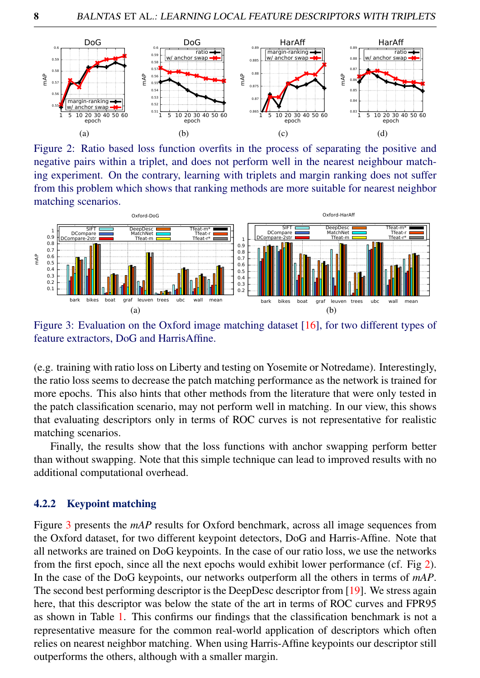

Figure 2: Ratio based loss function overfits in the process of separating the positive and negative pairs within a triplet, and does not perform well in the nearest neighbour matching experiment. On the contrary, learning with triplets and margin ranking does not suffer from this problem which shows that ranking methods are more suitable for nearest neighbor matching scenarios.



Figure 3: Evaluation on the Oxford image matching dataset [16], for two different types of feature extractors, DoG and HarrisAffine.

(e.g. training with ratio loss on Liberty and testing on Yosemite or Notredame). Interestingly, the ratio loss seems to decrease the patch matching performance as the network is trained for more epochs. This also hints that other methods from the literature that were only tested in the patch classification scenario, may not perform well in matching. In our view, this shows that evaluating descriptors only in terms of ROC curves is not representative for realistic matching scenarios.

Finally, the results show that the loss functions with anchor swapping perform better than without swapping. Note that this simple technique can lead to improved results with no additional computational overhead.

#### 4.2.2 Keypoint matching

Figure 3 presents the *mAP* results for Oxford benchmark, across all image sequences from the Oxford dataset, for two different keypoint detectors, DoG and Harris-Affine. Note that all networks are trained on DoG keypoints. In the case of our ratio loss, we use the networks from the first epoch, since all the next epochs would exhibit lower performance (cf. Fig 2). In the case of the DoG keypoints, our networks outperform all the others in terms of *mAP*. The second best performing descriptor is the DeepDesc descriptor from [19]. We stress again here, that this descriptor was below the state of the art in terms of ROC curves and FPR95 as shown in Table 1. This confirms our findings that the classification benchmark is not a representative measure for the common real-world application of descriptors which often relies on nearest neighbor matching. When using Harris-Affine keypoints our descriptor still outperforms the others, although with a smaller margin.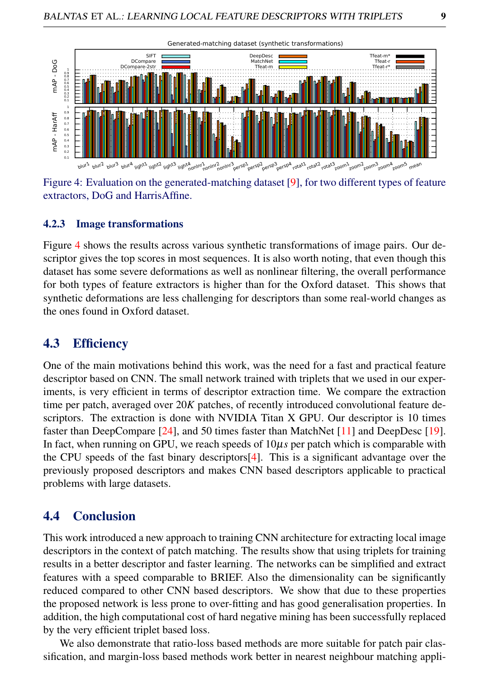

Figure 4: Evaluation on the generated-matching dataset [9], for two different types of feature extractors, DoG and HarrisAffine.

#### 4.2.3 Image transformations

Figure 4 shows the results across various synthetic transformations of image pairs. Our descriptor gives the top scores in most sequences. It is also worth noting, that even though this dataset has some severe deformations as well as nonlinear filtering, the overall performance for both types of feature extractors is higher than for the Oxford dataset. This shows that synthetic deformations are less challenging for descriptors than some real-world changes as the ones found in Oxford dataset.

### 4.3 Efficiency

One of the main motivations behind this work, was the need for a fast and practical feature descriptor based on CNN. The small network trained with triplets that we used in our experiments, is very efficient in terms of descriptor extraction time. We compare the extraction time per patch, averaged over 20*K* patches, of recently introduced convolutional feature descriptors. The extraction is done with NVIDIA Titan X GPU. Our descriptor is 10 times faster than DeepCompare [24], and 50 times faster than MatchNet [11] and DeepDesc [19]. In fact, when running on GPU, we reach speeds of 10µ*s* per patch which is comparable with the CPU speeds of the fast binary descriptors[4]. This is a significant advantage over the previously proposed descriptors and makes CNN based descriptors applicable to practical problems with large datasets.

### 4.4 Conclusion

This work introduced a new approach to training CNN architecture for extracting local image descriptors in the context of patch matching. The results show that using triplets for training results in a better descriptor and faster learning. The networks can be simplified and extract features with a speed comparable to BRIEF. Also the dimensionality can be significantly reduced compared to other CNN based descriptors. We show that due to these properties the proposed network is less prone to over-fitting and has good generalisation properties. In addition, the high computational cost of hard negative mining has been successfully replaced by the very efficient triplet based loss.

We also demonstrate that ratio-loss based methods are more suitable for patch pair classification, and margin-loss based methods work better in nearest neighbour matching appli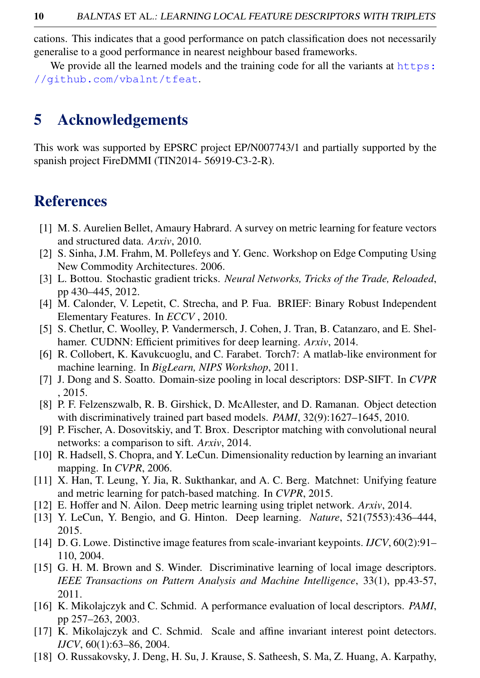cations. This indicates that a good performance on patch classification does not necessarily generalise to a good performance in nearest neighbour based frameworks.

We provide all the learned models and the training code for all the variants at https: //github.com/vbalnt/tfeat.

# 5 Acknowledgements

This work was supported by EPSRC project EP/N007743/1 and partially supported by the spanish project FireDMMI (TIN2014- 56919-C3-2-R).

# References

- [1] M. S. Aurelien Bellet, Amaury Habrard. A survey on metric learning for feature vectors and structured data. *Arxiv*, 2010.
- [2] S. Sinha, J.M. Frahm, M. Pollefeys and Y. Genc. Workshop on Edge Computing Using New Commodity Architectures. 2006.
- [3] L. Bottou. Stochastic gradient tricks. *Neural Networks, Tricks of the Trade, Reloaded*, pp 430–445, 2012.
- [4] M. Calonder, V. Lepetit, C. Strecha, and P. Fua. BRIEF: Binary Robust Independent Elementary Features. In *ECCV* , 2010.
- [5] S. Chetlur, C. Woolley, P. Vandermersch, J. Cohen, J. Tran, B. Catanzaro, and E. Shelhamer. CUDNN: Efficient primitives for deep learning. *Arxiv*, 2014.
- [6] R. Collobert, K. Kavukcuoglu, and C. Farabet. Torch7: A matlab-like environment for machine learning. In *BigLearn, NIPS Workshop*, 2011.
- [7] J. Dong and S. Soatto. Domain-size pooling in local descriptors: DSP-SIFT. In *CVPR* , 2015.
- [8] P. F. Felzenszwalb, R. B. Girshick, D. McAllester, and D. Ramanan. Object detection with discriminatively trained part based models. *PAMI*, 32(9):1627–1645, 2010.
- [9] P. Fischer, A. Dosovitskiy, and T. Brox. Descriptor matching with convolutional neural networks: a comparison to sift. *Arxiv*, 2014.
- [10] R. Hadsell, S. Chopra, and Y. LeCun. Dimensionality reduction by learning an invariant mapping. In *CVPR*, 2006.
- [11] X. Han, T. Leung, Y. Jia, R. Sukthankar, and A. C. Berg. Matchnet: Unifying feature and metric learning for patch-based matching. In *CVPR*, 2015.
- [12] E. Hoffer and N. Ailon. Deep metric learning using triplet network. *Arxiv*, 2014.
- [13] Y. LeCun, Y. Bengio, and G. Hinton. Deep learning. *Nature*, 521(7553):436–444, 2015.
- [14] D. G. Lowe. Distinctive image features from scale-invariant keypoints. *IJCV*, 60(2):91– 110, 2004.
- [15] G. H. M. Brown and S. Winder. Discriminative learning of local image descriptors. *IEEE Transactions on Pattern Analysis and Machine Intelligence*, 33(1), pp.43-57, 2011.
- [16] K. Mikolajczyk and C. Schmid. A performance evaluation of local descriptors. *PAMI*, pp 257–263, 2003.
- [17] K. Mikolajczyk and C. Schmid. Scale and affine invariant interest point detectors. *IJCV*, 60(1):63–86, 2004.
- [18] O. Russakovsky, J. Deng, H. Su, J. Krause, S. Satheesh, S. Ma, Z. Huang, A. Karpathy,